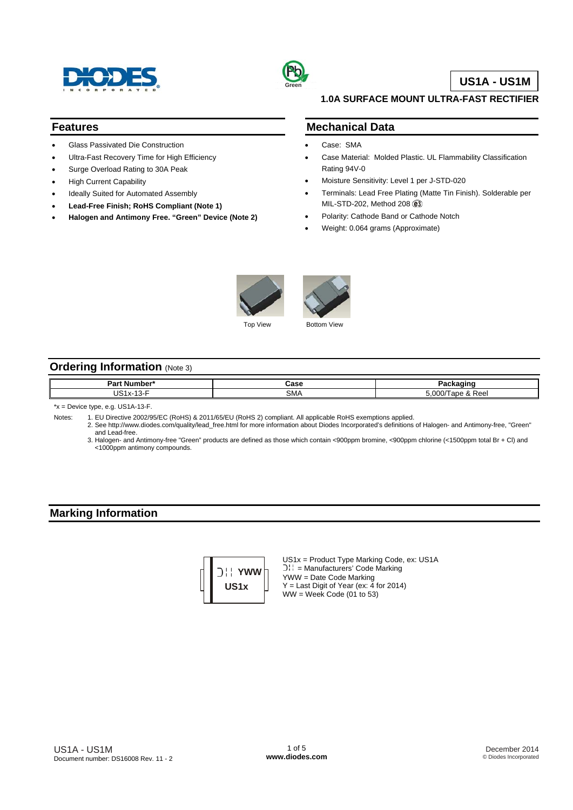



# **US1A - US1M**

#### **1.0A SURFACE MOUNT ULTRA-FAST RECTIFIER**

# **Features**

- Glass Passivated Die Construction
- Ultra-Fast Recovery Time for High Efficiency
- Surge Overload Rating to 30A Peak
- High Current Capability
- Ideally Suited for Automated Assembly
- **Lead-Free Finish; RoHS Compliant (Note 1)**
- **Halogen and Antimony Free. "Green" Device (Note 2)**

#### **Mechanical Data**

- Case: SMA
- Case Material: Molded Plastic. UL Flammability Classification Rating 94V-0
- Moisture Sensitivity: Level 1 per J-STD-020
- Terminals: Lead Free Plating (Matte Tin Finish). Solderable per MIL-STD-202, Method 208
- Polarity: Cathode Band or Cathode Notch
- Weight: 0.064 grams (Approximate)



Top View Bottom View

# **Ordering Information** (Note 3)

| Da<br>. . | .<br>,,,   |        |
|-----------|------------|--------|
| . .       | ┒<br>JIVI/ | $\sim$ |

\*x = Device type, e.g. US1A-13-F.

- Notes: 1. EU Directive 2002/95/EC (RoHS) & 2011/65/EU (RoHS 2) compliant. All applicable RoHS exemptions applied.
	- 2. See [http://www.diodes.com/quality/lead\\_free.html fo](http://www.diodes.com/quality/lead_free.html)r more information about Diodes Incorporated's definitions of Halogen- and Antimony-free, "Green" and Lead-free.
	- 3. Halogen- and Antimony-free "Green" products are defined as those which contain <900ppm bromine, <900ppm chlorine (<1500ppm total Br + Cl) and <1000ppm antimony compounds.

### **Marking Information**



US1x = Product Type Marking Code, ex: US1A = Manufacturers' Code Marking YWW = Date Code Marking  $Y =$  Last Digit of Year (ex: 4 for 2014)  $WW = Week Code (01 to 53)$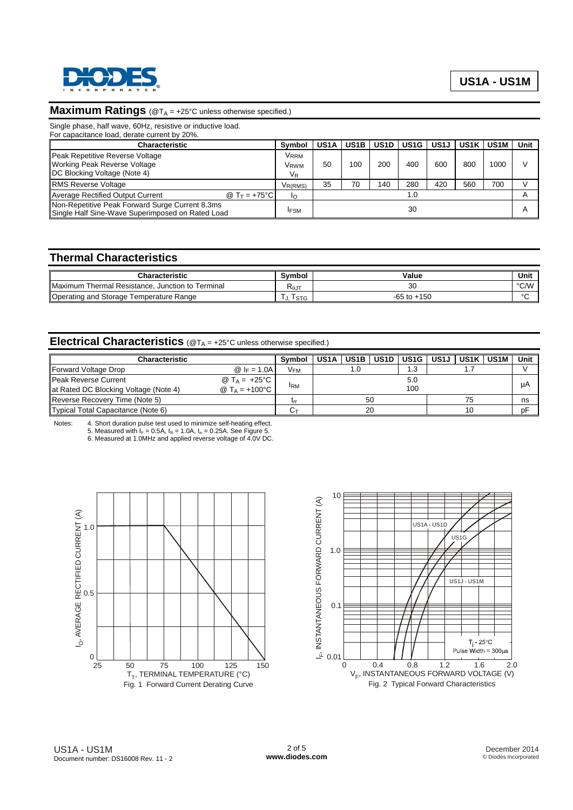

# **Maximum Ratings** (@T<sub>A</sub> = +25°C unless otherwise specified.)

Single phase, half wave, 60Hz, resistive or inductive load.

| For capacitance load, derate current by 20%.                                                           |                                                                        |                   |                   |                   |                   |                   |                   |             |        |
|--------------------------------------------------------------------------------------------------------|------------------------------------------------------------------------|-------------------|-------------------|-------------------|-------------------|-------------------|-------------------|-------------|--------|
| <b>Characteristic</b>                                                                                  |                                                                        | US <sub>1</sub> A | US <sub>1</sub> B | US <sub>1</sub> D | US <sub>1</sub> G | US <sub>1</sub> J | US <sub>1</sub> K | <b>US1M</b> | Unit   |
| Peak Repetitive Reverse Voltage<br><b>Working Peak Reverse Voltage</b><br>DC Blocking Voltage (Note 4) | <b>V</b> <sub>RRM</sub><br>V <sub>RWM</sub><br>$\mathsf{V}_\mathsf{R}$ | 50                | 100               | 200               | 400               | 600               | 800               | 1000        | $\vee$ |
| <b>RMS Reverse Voltage</b>                                                                             | V <sub>R(RMS)</sub>                                                    | 35                | 70                | 140               | 280               | 420               | 560               | 700         |        |
| <b>Average Rectified Output Current</b><br>@ T $_{\rm T}$ = +75°C l                                    | Ιo                                                                     |                   |                   |                   | 1.0               |                   |                   |             |        |
| Non-Repetitive Peak Forward Surge Current 8.3ms<br>Single Half Sine-Wave Superimposed on Rated Load    | <b>IFSM</b>                                                            |                   |                   |                   | 30                |                   |                   |             | А      |

### **Thermal Characteristics**

| Characteristic                                   | Svmbol                     | Value           | Unit   |
|--------------------------------------------------|----------------------------|-----------------|--------|
| Maximum Thermal Resistance, Junction to Terminal | $R_{\theta J}$ .<br>$\sim$ |                 | °C/W   |
| Operating and Storage Temperature Range          | <b>STG</b>                 | $-65$ to $+150$ | $\sim$ |

# **Electrical Characteristics** (@T<sub>A</sub> = +25°C unless otherwise specified.)

| <b>Characteristic</b>                 |                                    | Symbol          | US <sub>1</sub> A | US <sub>1</sub> B | US1D | l US1G l | US1J I | US1K | <b>US1M</b> | Unit |
|---------------------------------------|------------------------------------|-----------------|-------------------|-------------------|------|----------|--------|------|-------------|------|
|                                       |                                    |                 |                   |                   |      |          |        |      |             |      |
| Forward Voltage Drop                  | @ $ _F = 1.0A$                     | V <sub>FM</sub> |                   |                   |      | ۱.3      |        |      |             |      |
| Peak Reverse Current                  | @ T <sub>A</sub> = $+25^{\circ}$ C |                 |                   |                   |      | 5.0      |        |      |             |      |
| at Rated DC Blocking Voltage (Note 4) | @ $Ta = +100°C$                    | <b>IRM</b>      |                   |                   |      | 100      |        |      |             | μA   |
| Reverse Recovery Time (Note 5)        |                                    | <b>Lrr</b>      |                   | 50                |      |          |        | 75   |             | ns   |
| Typical Total Capacitance (Note 6)    |                                    |                 |                   |                   | 20   |          |        | 10   |             | рF   |

Notes: 4. Short duration pulse test used to minimize self-heating effect.<br>5. Measured with  $I_F = 0.5A$ ,  $I_R = 1.0A$ ,  $I_{rr} = 0.25A$ . See Figure 5.<br>6. Measured at 1.0MHz and applied reverse voltage of 4.0V DC.



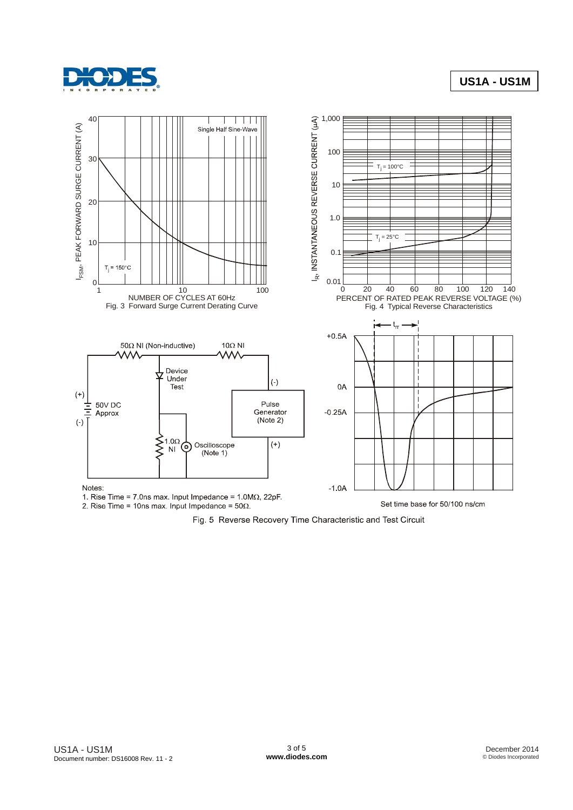

# **US1A - US1M**



1. Rise Time = 7.0ns max. Input Impedance =  $1.0M\Omega$ , 22pF. 2. Rise Time = 10ns max. Input Impedance =  $50\Omega$ .

Set time base for 50/100 ns/cm

Fig. 5 Reverse Recovery Time Characteristic and Test Circuit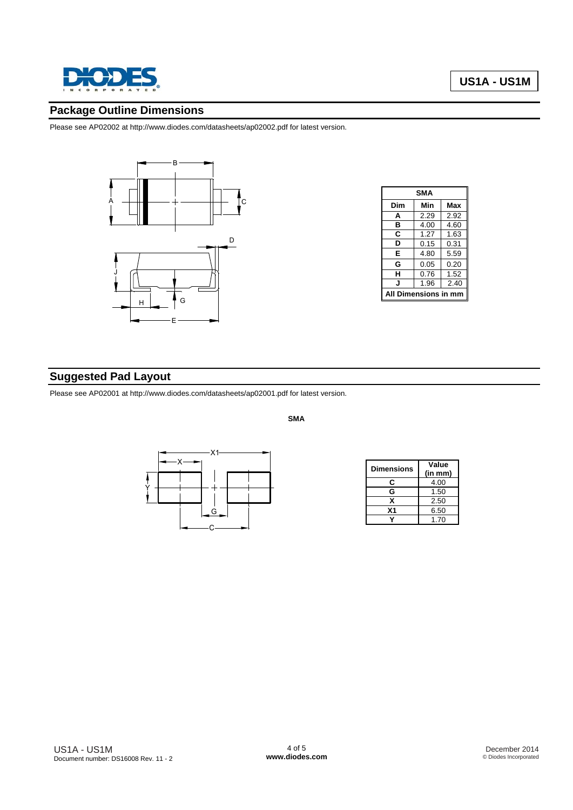

# **Package Outline Dimensions**

Please see AP02002 at [http://www.diodes.com/datasheets/ap02002.pdf fo](http://www.diodes.com/datasheets/ap02002.pdf)r latest version.



| SMA                  |      |      |  |  |  |
|----------------------|------|------|--|--|--|
| Dim                  | Min  | Max  |  |  |  |
| A                    | 2.29 | 2.92 |  |  |  |
| в                    | 4.00 | 4.60 |  |  |  |
| C                    | 1.27 | 1.63 |  |  |  |
| D                    | 0.15 | 0.31 |  |  |  |
| E                    | 4.80 | 5.59 |  |  |  |
| G                    | 0.05 | 0.20 |  |  |  |
| н                    | 0.76 | 1.52 |  |  |  |
| J                    | 1.96 | 2.40 |  |  |  |
| All Dimensions in mm |      |      |  |  |  |

# **Suggested Pad Layout**

Please see AP02001 at [http://www.diodes.com/datasheets/ap02001.pdf fo](http://www.diodes.com/datasheets/ap02001.pdf)r latest version.

**SMA** 



| <b>Dimensions</b> | Value   |  |  |  |  |
|-------------------|---------|--|--|--|--|
|                   | (in mm) |  |  |  |  |
| C                 | 4.00    |  |  |  |  |
| G                 | 1.50    |  |  |  |  |
| x                 | 2.50    |  |  |  |  |
| Χ1                | 6.50    |  |  |  |  |
|                   | 1.70    |  |  |  |  |